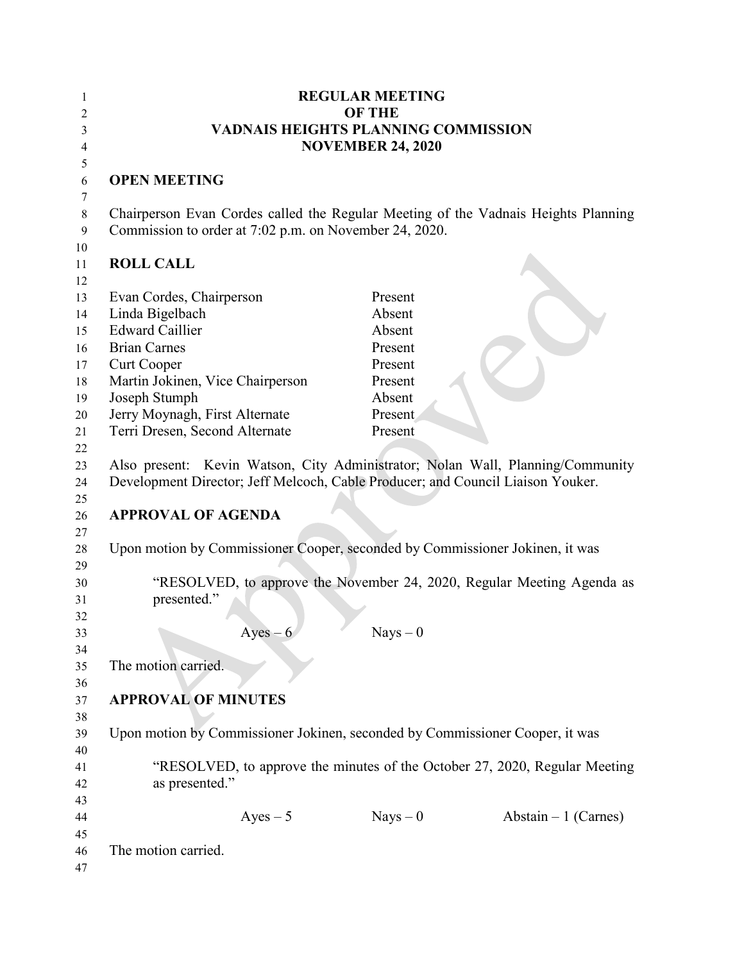| 1<br>2         | <b>REGULAR MEETING</b><br><b>OF THE</b>                                                                                                                           |                          |                       |
|----------------|-------------------------------------------------------------------------------------------------------------------------------------------------------------------|--------------------------|-----------------------|
| 3              | <b>VADNAIS HEIGHTS PLANNING COMMISSION</b>                                                                                                                        |                          |                       |
| 4<br>5         |                                                                                                                                                                   | <b>NOVEMBER 24, 2020</b> |                       |
| 6<br>7         | <b>OPEN MEETING</b>                                                                                                                                               |                          |                       |
| 8<br>9<br>10   | Chairperson Evan Cordes called the Regular Meeting of the Vadnais Heights Planning<br>Commission to order at 7:02 p.m. on November 24, 2020.                      |                          |                       |
| 11<br>12       | <b>ROLL CALL</b>                                                                                                                                                  |                          |                       |
| 13<br>14       | Evan Cordes, Chairperson<br>Linda Bigelbach                                                                                                                       | Present<br>Absent        |                       |
| 15<br>16       | <b>Edward Caillier</b><br><b>Brian Carnes</b>                                                                                                                     | Absent<br>Present        |                       |
| 17<br>18       | Curt Cooper<br>Martin Jokinen, Vice Chairperson                                                                                                                   | Present<br>Present       |                       |
| 19<br>20       | Joseph Stumph<br>Jerry Moynagh, First Alternate                                                                                                                   | Absent<br>Present        |                       |
| 21<br>22<br>23 | Terri Dresen, Second Alternate                                                                                                                                    | Present                  |                       |
| 24<br>25       | Also present: Kevin Watson, City Administrator; Nolan Wall, Planning/Community<br>Development Director; Jeff Melcoch, Cable Producer; and Council Liaison Youker. |                          |                       |
| 26<br>27       | <b>APPROVAL OF AGENDA</b>                                                                                                                                         |                          |                       |
| 28<br>29       | Upon motion by Commissioner Cooper, seconded by Commissioner Jokinen, it was                                                                                      |                          |                       |
| 30<br>31<br>32 | "RESOLVED, to approve the November 24, 2020, Regular Meeting Agenda as<br>presented."                                                                             |                          |                       |
| 33<br>34       | $Ayes-6$                                                                                                                                                          | $Nays - 0$               |                       |
| 35<br>36       | The motion carried.                                                                                                                                               |                          |                       |
| 37<br>38       | <b>APPROVAL OF MINUTES</b>                                                                                                                                        |                          |                       |
| 39<br>40       | Upon motion by Commissioner Jokinen, seconded by Commissioner Cooper, it was                                                                                      |                          |                       |
| 41<br>42<br>43 | "RESOLVED, to approve the minutes of the October 27, 2020, Regular Meeting<br>as presented."                                                                      |                          |                       |
| 44<br>45       | $Ayes - 5$                                                                                                                                                        | $Nays - 0$               | Abstain $-1$ (Carnes) |
| 46<br>47       | The motion carried.                                                                                                                                               |                          |                       |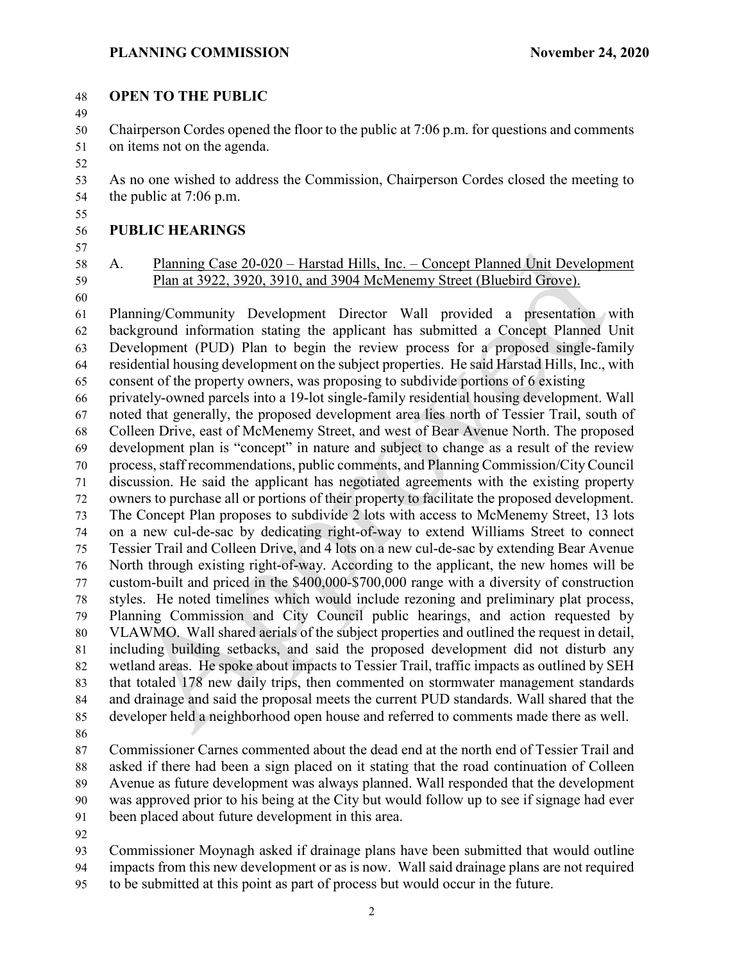#### **OPEN TO THE PUBLIC**

 Chairperson Cordes opened the floor to the public at 7:06 p.m. for questions and comments on items not on the agenda.

 As no one wished to address the Commission, Chairperson Cordes closed the meeting to the public at 7:06 p.m.

### **PUBLIC HEARINGS**

## A. Planning Case 20-020 – Harstad Hills, Inc. – Concept Planned Unit Development Plan at 3922, 3920, 3910, and 3904 McMenemy Street (Bluebird Grove).

 Planning/Community Development Director Wall provided a presentation with background information stating the applicant has submitted a Concept Planned Unit Development (PUD) Plan to begin the review process for a proposed single-family residential housing development on the subject properties. He said Harstad Hills, Inc., with consent of the property owners, was proposing to subdivide portions of 6 existing

 privately-owned parcels into a 19-lot single-family residential housing development. Wall noted that generally, the proposed development area lies north of Tessier Trail, south of Colleen Drive, east of McMenemy Street, and west of Bear Avenue North. The proposed development plan is "concept" in nature and subject to change as a result of the review process, staff recommendations, public comments, and Planning Commission/City Council discussion. He said the applicant has negotiated agreements with the existing property owners to purchase all or portions of their property to facilitate the proposed development. The Concept Plan proposes to subdivide 2 lots with access to McMenemy Street, 13 lots on a new cul-de-sac by dedicating right-of-way to extend Williams Street to connect Tessier Trail and Colleen Drive, and 4 lots on a new cul-de-sac by extending Bear Avenue North through existing right-of-way. According to the applicant, the new homes will be custom-built and priced in the \$400,000-\$700,000 range with a diversity of construction styles. He noted timelines which would include rezoning and preliminary plat process, Planning Commission and City Council public hearings, and action requested by VLAWMO. Wall shared aerials of the subject properties and outlined the request in detail, including building setbacks, and said the proposed development did not disturb any wetland areas. He spoke about impacts to Tessier Trail, traffic impacts as outlined by SEH that totaled 178 new daily trips, then commented on stormwater management standards and drainage and said the proposal meets the current PUD standards. Wall shared that the developer held a neighborhood open house and referred to comments made there as well.

 Commissioner Carnes commented about the dead end at the north end of Tessier Trail and asked if there had been a sign placed on it stating that the road continuation of Colleen Avenue as future development was always planned. Wall responded that the development was approved prior to his being at the City but would follow up to see if signage had ever been placed about future development in this area.

 Commissioner Moynagh asked if drainage plans have been submitted that would outline impacts from this new development or as is now. Wall said drainage plans are not required

to be submitted at this point as part of process but would occur in the future.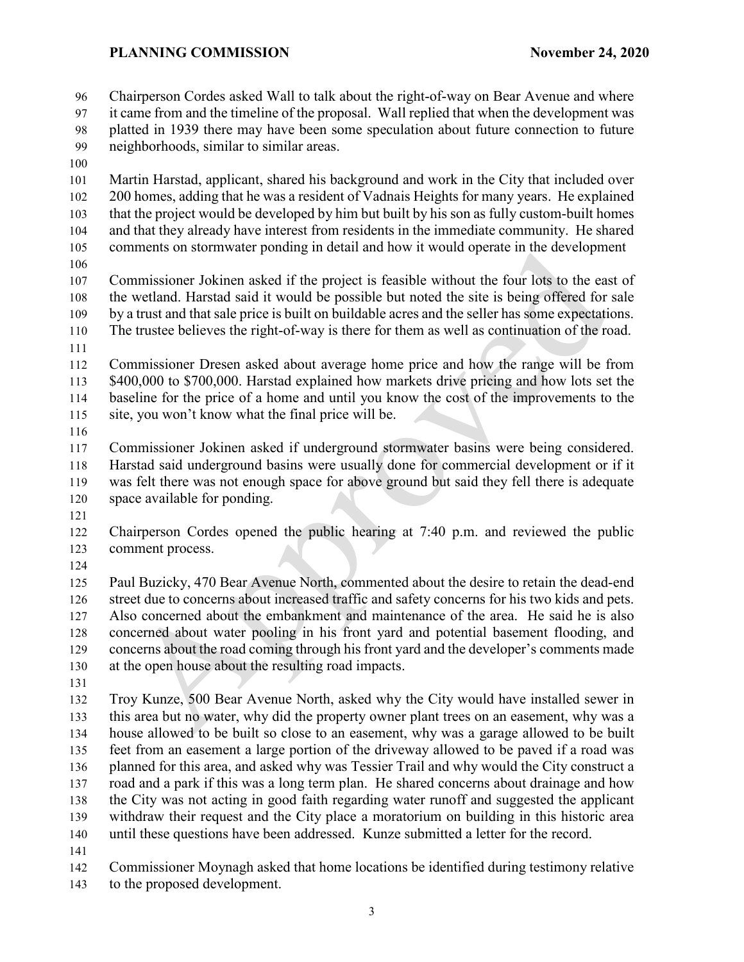Chairperson Cordes asked Wall to talk about the right-of-way on Bear Avenue and where it came from and the timeline of the proposal. Wall replied that when the development was

 platted in 1939 there may have been some speculation about future connection to future neighborhoods, similar to similar areas.

 Martin Harstad, applicant, shared his background and work in the City that included over 200 homes, adding that he was a resident of Vadnais Heights for many years. He explained that the project would be developed by him but built by his son as fully custom-built homes and that they already have interest from residents in the immediate community. He shared comments on stormwater ponding in detail and how it would operate in the development

 Commissioner Jokinen asked if the project is feasible without the four lots to the east of the wetland. Harstad said it would be possible but noted the site is being offered for sale by a trust and that sale price is built on buildable acres and the seller has some expectations. The trustee believes the right-of-way is there for them as well as continuation of the road.

 Commissioner Dresen asked about average home price and how the range will be from \$400,000 to \$700,000. Harstad explained how markets drive pricing and how lots set the baseline for the price of a home and until you know the cost of the improvements to the site, you won't know what the final price will be.

 Commissioner Jokinen asked if underground stormwater basins were being considered. Harstad said underground basins were usually done for commercial development or if it was felt there was not enough space for above ground but said they fell there is adequate space available for ponding.

 Chairperson Cordes opened the public hearing at 7:40 p.m. and reviewed the public comment process.

 Paul Buzicky, 470 Bear Avenue North, commented about the desire to retain the dead-end street due to concerns about increased traffic and safety concerns for his two kids and pets. Also concerned about the embankment and maintenance of the area. He said he is also concerned about water pooling in his front yard and potential basement flooding, and concerns about the road coming through his front yard and the developer's comments made at the open house about the resulting road impacts.

 Troy Kunze, 500 Bear Avenue North, asked why the City would have installed sewer in this area but no water, why did the property owner plant trees on an easement, why was a house allowed to be built so close to an easement, why was a garage allowed to be built feet from an easement a large portion of the driveway allowed to be paved if a road was planned for this area, and asked why was Tessier Trail and why would the City construct a road and a park if this was a long term plan. He shared concerns about drainage and how the City was not acting in good faith regarding water runoff and suggested the applicant withdraw their request and the City place a moratorium on building in this historic area until these questions have been addressed. Kunze submitted a letter for the record.

Commissioner Moynagh asked that home locations be identified during testimony relative

to the proposed development.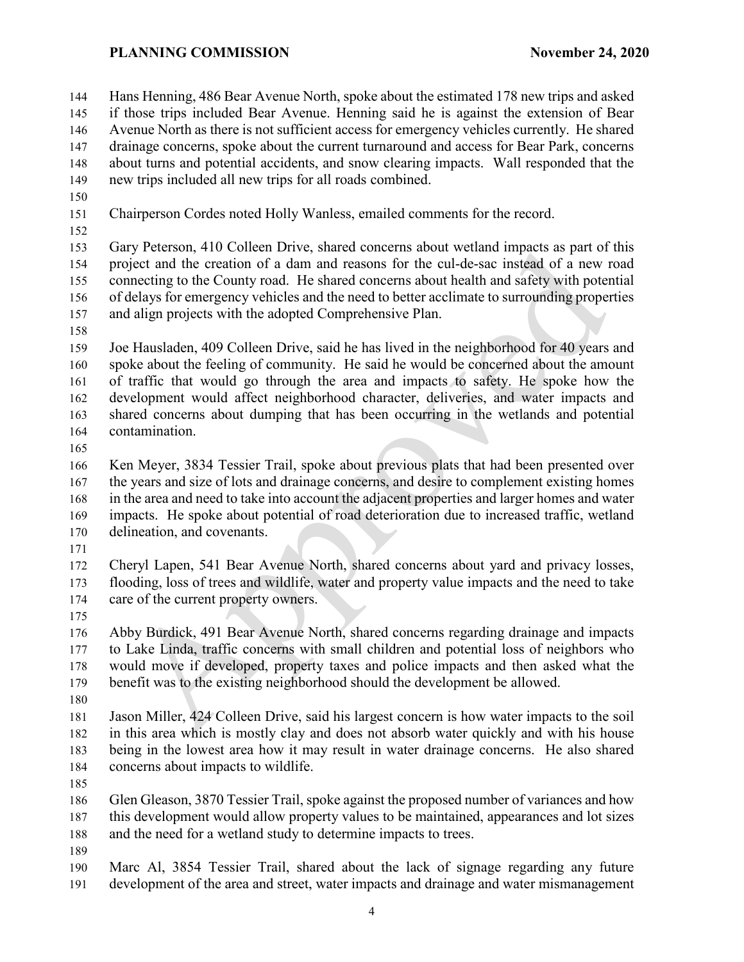Hans Henning, 486 Bear Avenue North, spoke about the estimated 178 new trips and asked if those trips included Bear Avenue. Henning said he is against the extension of Bear Avenue North as there is not sufficient access for emergency vehicles currently. He shared drainage concerns, spoke about the current turnaround and access for Bear Park, concerns about turns and potential accidents, and snow clearing impacts. Wall responded that the new trips included all new trips for all roads combined.

- 
- Chairperson Cordes noted Holly Wanless, emailed comments for the record.
- 

 Gary Peterson, 410 Colleen Drive, shared concerns about wetland impacts as part of this project and the creation of a dam and reasons for the cul-de-sac instead of a new road connecting to the County road. He shared concerns about health and safety with potential of delays for emergency vehicles and the need to better acclimate to surrounding properties and align projects with the adopted Comprehensive Plan.

 Joe Hausladen, 409 Colleen Drive, said he has lived in the neighborhood for 40 years and spoke about the feeling of community. He said he would be concerned about the amount of traffic that would go through the area and impacts to safety. He spoke how the development would affect neighborhood character, deliveries, and water impacts and shared concerns about dumping that has been occurring in the wetlands and potential contamination.

 Ken Meyer, 3834 Tessier Trail, spoke about previous plats that had been presented over 167 the years and size of lots and drainage concerns, and desire to complement existing homes in the area and need to take into account the adjacent properties and larger homes and water impacts. He spoke about potential of road deterioration due to increased traffic, wetland delineation, and covenants.

 Cheryl Lapen, 541 Bear Avenue North, shared concerns about yard and privacy losses, flooding, loss of trees and wildlife, water and property value impacts and the need to take care of the current property owners.

 Abby Burdick, 491 Bear Avenue North, shared concerns regarding drainage and impacts to Lake Linda, traffic concerns with small children and potential loss of neighbors who would move if developed, property taxes and police impacts and then asked what the benefit was to the existing neighborhood should the development be allowed.

 Jason Miller, 424 Colleen Drive, said his largest concern is how water impacts to the soil in this area which is mostly clay and does not absorb water quickly and with his house being in the lowest area how it may result in water drainage concerns. He also shared concerns about impacts to wildlife.

 Glen Gleason, 3870 Tessier Trail, spoke against the proposed number of variances and how this development would allow property values to be maintained, appearances and lot sizes 188 and the need for a wetland study to determine impacts to trees.

 Marc Al, 3854 Tessier Trail, shared about the lack of signage regarding any future development of the area and street, water impacts and drainage and water mismanagement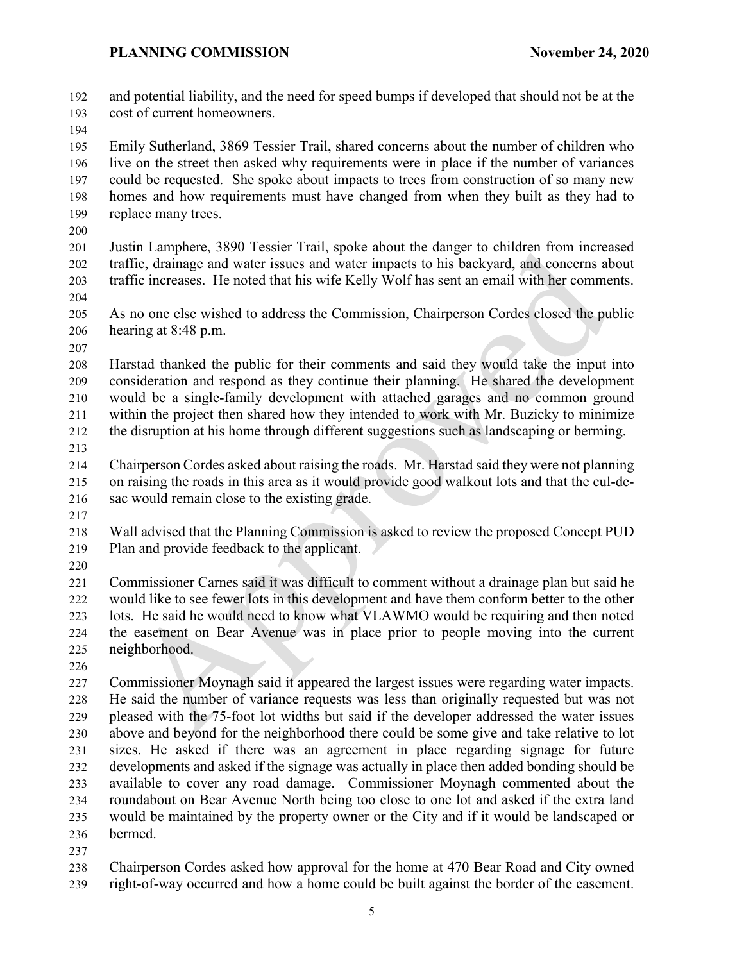and potential liability, and the need for speed bumps if developed that should not be at the cost of current homeowners.

 Emily Sutherland, 3869 Tessier Trail, shared concerns about the number of children who live on the street then asked why requirements were in place if the number of variances could be requested. She spoke about impacts to trees from construction of so many new homes and how requirements must have changed from when they built as they had to replace many trees.

 Justin Lamphere, 3890 Tessier Trail, spoke about the danger to children from increased traffic, drainage and water issues and water impacts to his backyard, and concerns about traffic increases. He noted that his wife Kelly Wolf has sent an email with her comments.

 As no one else wished to address the Commission, Chairperson Cordes closed the public hearing at 8:48 p.m.

 Harstad thanked the public for their comments and said they would take the input into consideration and respond as they continue their planning. He shared the development would be a single-family development with attached garages and no common ground within the project then shared how they intended to work with Mr. Buzicky to minimize the disruption at his home through different suggestions such as landscaping or berming.

 Chairperson Cordes asked about raising the roads. Mr. Harstad said they were not planning on raising the roads in this area as it would provide good walkout lots and that the cul-de-sac would remain close to the existing grade.

 Wall advised that the Planning Commission is asked to review the proposed Concept PUD Plan and provide feedback to the applicant.

 Commissioner Carnes said it was difficult to comment without a drainage plan but said he would like to see fewer lots in this development and have them conform better to the other lots. He said he would need to know what VLAWMO would be requiring and then noted the easement on Bear Avenue was in place prior to people moving into the current neighborhood.

 Commissioner Moynagh said it appeared the largest issues were regarding water impacts. He said the number of variance requests was less than originally requested but was not pleased with the 75-foot lot widths but said if the developer addressed the water issues above and beyond for the neighborhood there could be some give and take relative to lot sizes. He asked if there was an agreement in place regarding signage for future developments and asked if the signage was actually in place then added bonding should be available to cover any road damage. Commissioner Moynagh commented about the roundabout on Bear Avenue North being too close to one lot and asked if the extra land would be maintained by the property owner or the City and if it would be landscaped or bermed.

 Chairperson Cordes asked how approval for the home at 470 Bear Road and City owned right-of-way occurred and how a home could be built against the border of the easement.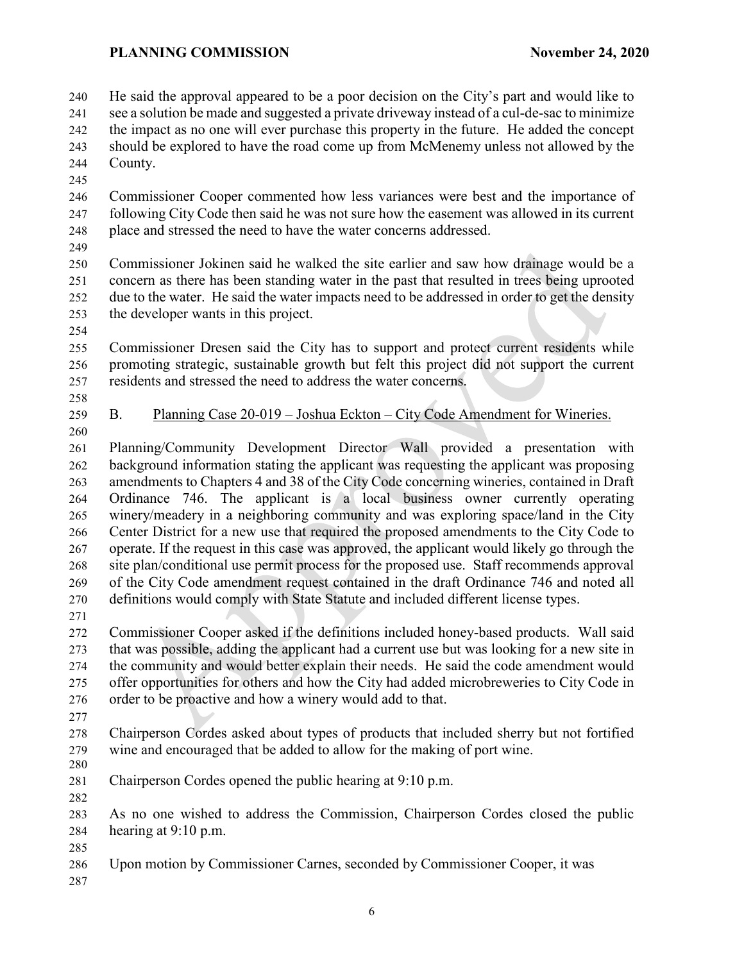He said the approval appeared to be a poor decision on the City's part and would like to see a solution be made and suggested a private driveway instead of a cul-de-sac to minimize the impact as no one will ever purchase this property in the future. He added the concept

 should be explored to have the road come up from McMenemy unless not allowed by the County.

 Commissioner Cooper commented how less variances were best and the importance of following City Code then said he was not sure how the easement was allowed in its current 248 place and stressed the need to have the water concerns addressed.

 Commissioner Jokinen said he walked the site earlier and saw how drainage would be a concern as there has been standing water in the past that resulted in trees being uprooted due to the water. He said the water impacts need to be addressed in order to get the density the developer wants in this project.

 Commissioner Dresen said the City has to support and protect current residents while promoting strategic, sustainable growth but felt this project did not support the current residents and stressed the need to address the water concerns.

 

B. Planning Case 20-019 – Joshua Eckton – City Code Amendment for Wineries.

 Planning/Community Development Director Wall provided a presentation with background information stating the applicant was requesting the applicant was proposing amendments to Chapters 4 and 38 of the City Code concerning wineries, contained in Draft Ordinance 746. The applicant is a local business owner currently operating winery/meadery in a neighboring community and was exploring space/land in the City Center District for a new use that required the proposed amendments to the City Code to operate. If the request in this case was approved, the applicant would likely go through the site plan/conditional use permit process for the proposed use. Staff recommends approval of the City Code amendment request contained in the draft Ordinance 746 and noted all definitions would comply with State Statute and included different license types.

 Commissioner Cooper asked if the definitions included honey-based products. Wall said that was possible, adding the applicant had a current use but was looking for a new site in the community and would better explain their needs. He said the code amendment would offer opportunities for others and how the City had added microbreweries to City Code in order to be proactive and how a winery would add to that.

 Chairperson Cordes asked about types of products that included sherry but not fortified wine and encouraged that be added to allow for the making of port wine. 280

 Chairperson Cordes opened the public hearing at 9:10 p.m. 

 As no one wished to address the Commission, Chairperson Cordes closed the public hearing at 9:10 p.m.

Upon motion by Commissioner Carnes, seconded by Commissioner Cooper, it was